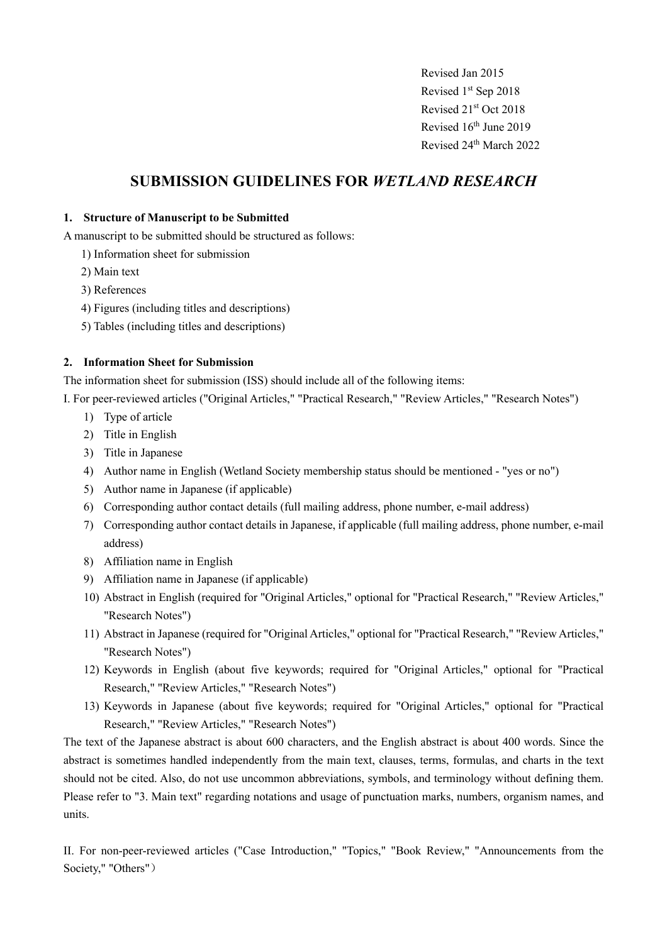Revised Jan 2015 Revised 1<sup>st</sup> Sep 2018 Revised 21st Oct 2018 Revised 16th June 2019 Revised 24<sup>th</sup> March 2022

# **SUBMISSION GUIDELINES FOR** *WETLAND RESEARCH*

## **1. Structure of Manuscript to be Submitted**

A manuscript to be submitted should be structured as follows:

- 1) Information sheet for submission
- 2) Main text
- 3) References
- 4) Figures (including titles and descriptions)
- 5) Tables (including titles and descriptions)

# **2. Information Sheet for Submission**

The information sheet for submission (ISS) should include all of the following items:

I. For peer-reviewed articles ("Original Articles," "Practical Research," "Review Articles," "Research Notes")

- 1) Type of article
- 2) Title in English
- 3) Title in Japanese
- 4) Author name in English (Wetland Society membership status should be mentioned "yes or no")
- 5) Author name in Japanese (if applicable)
- 6) Corresponding author contact details (full mailing address, phone number, e-mail address)
- 7) Corresponding author contact details in Japanese, if applicable (full mailing address, phone number, e-mail address)
- 8) Affiliation name in English
- 9) Affiliation name in Japanese (if applicable)
- 10) Abstract in English (required for "Original Articles," optional for "Practical Research," "Review Articles," "Research Notes")
- 11) Abstract in Japanese (required for "Original Articles," optional for "Practical Research," "Review Articles," "Research Notes")
- 12) Keywords in English (about five keywords; required for "Original Articles," optional for "Practical Research," "Review Articles," "Research Notes")
- 13) Keywords in Japanese (about five keywords; required for "Original Articles," optional for "Practical Research," "Review Articles," "Research Notes")

The text of the Japanese abstract is about 600 characters, and the English abstract is about 400 words. Since the abstract is sometimes handled independently from the main text, clauses, terms, formulas, and charts in the text should not be cited. Also, do not use uncommon abbreviations, symbols, and terminology without defining them. Please refer to "3. Main text" regarding notations and usage of punctuation marks, numbers, organism names, and units.

II. For non-peer-reviewed articles ("Case Introduction," "Topics," "Book Review," "Announcements from the Society," "Others")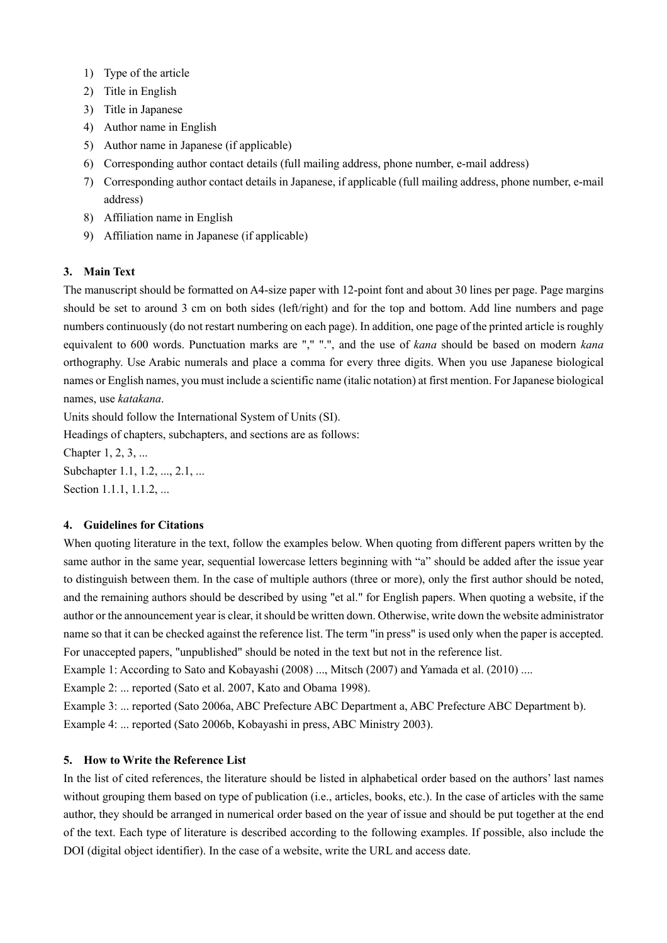- 1) Type of the article
- 2) Title in English
- 3) Title in Japanese
- 4) Author name in English
- 5) Author name in Japanese (if applicable)
- 6) Corresponding author contact details (full mailing address, phone number, e-mail address)
- 7) Corresponding author contact details in Japanese, if applicable (full mailing address, phone number, e-mail address)
- 8) Affiliation name in English
- 9) Affiliation name in Japanese (if applicable)

# **3. Main Text**

The manuscript should be formatted on A4-size paper with 12-point font and about 30 lines per page. Page margins should be set to around 3 cm on both sides (left/right) and for the top and bottom. Add line numbers and page numbers continuously (do not restart numbering on each page). In addition, one page of the printed article is roughly equivalent to 600 words. Punctuation marks are "," ".", and the use of *kana* should be based on modern *kana* orthography. Use Arabic numerals and place a comma for every three digits. When you use Japanese biological names or English names, you must include a scientific name (italic notation) at first mention. For Japanese biological names, use *katakana*.

Units should follow the International System of Units (SI).

Headings of chapters, subchapters, and sections are as follows:

Chapter 1, 2, 3, ...

Subchapter 1.1, 1.2, ..., 2.1, ... Section 1.1.1, 1.1.2, ...

## **4. Guidelines for Citations**

When quoting literature in the text, follow the examples below. When quoting from different papers written by the same author in the same year, sequential lowercase letters beginning with "a" should be added after the issue year to distinguish between them. In the case of multiple authors (three or more), only the first author should be noted, and the remaining authors should be described by using "et al." for English papers. When quoting a website, if the author or the announcement year is clear, it should be written down. Otherwise, write down the website administrator name so that it can be checked against the reference list. The term "in press" is used only when the paper is accepted. For unaccepted papers, "unpublished" should be noted in the text but not in the reference list.

Example 1: According to Sato and Kobayashi (2008) ..., Mitsch (2007) and Yamada et al. (2010) ....

Example 2: ... reported (Sato et al. 2007, Kato and Obama 1998).

Example 3: ... reported (Sato 2006a, ABC Prefecture ABC Department a, ABC Prefecture ABC Department b). Example 4: ... reported (Sato 2006b, Kobayashi in press, ABC Ministry 2003).

## **5. How to Write the Reference List**

In the list of cited references, the literature should be listed in alphabetical order based on the authors' last names without grouping them based on type of publication (i.e., articles, books, etc.). In the case of articles with the same author, they should be arranged in numerical order based on the year of issue and should be put together at the end of the text. Each type of literature is described according to the following examples. If possible, also include the DOI (digital object identifier). In the case of a website, write the URL and access date.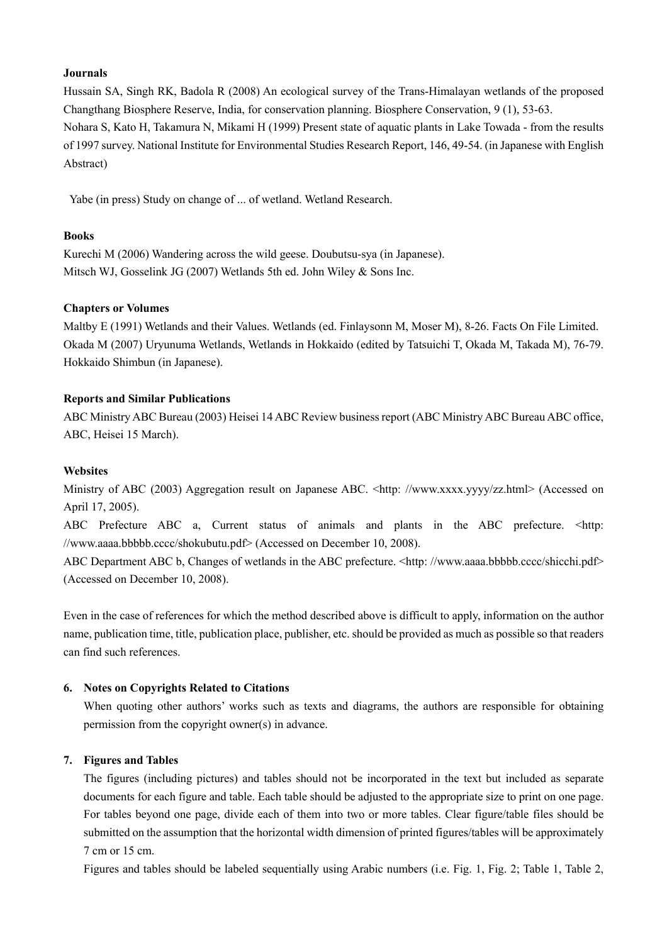#### **Journals**

Hussain SA, Singh RK, Badola R (2008) An ecological survey of the Trans-Himalayan wetlands of the proposed Changthang Biosphere Reserve, India, for conservation planning. Biosphere Conservation, 9 (1), 53-63. Nohara S, Kato H, Takamura N, Mikami H (1999) Present state of aquatic plants in Lake Towada - from the results of 1997 survey. National Institute for Environmental Studies Research Report, 146, 49-54. (in Japanese with English Abstract)

Yabe (in press) Study on change of ... of wetland. Wetland Research.

## **Books**

Kurechi M (2006) Wandering across the wild geese. Doubutsu-sya (in Japanese). Mitsch WJ, Gosselink JG (2007) Wetlands 5th ed. John Wiley & Sons Inc.

#### **Chapters or Volumes**

Maltby E (1991) Wetlands and their Values. Wetlands (ed. Finlaysonn M, Moser M), 8-26. Facts On File Limited. Okada M (2007) Uryunuma Wetlands, Wetlands in Hokkaido (edited by Tatsuichi T, Okada M, Takada M), 76-79. Hokkaido Shimbun (in Japanese).

#### **Reports and Similar Publications**

ABC Ministry ABC Bureau (2003) Heisei 14 ABC Review business report (ABC Ministry ABC Bureau ABC office, ABC, Heisei 15 March).

#### **Websites**

Ministry of ABC (2003) Aggregation result on Japanese ABC. <http://www.xxxx.yyyy/zz.html> (Accessed on April 17, 2005).

ABC Prefecture ABC a, Current status of animals and plants in the ABC prefecture. <http: //www.aaaa.bbbbb.cccc/shokubutu.pdf> (Accessed on December 10, 2008).

ABC Department ABC b, Changes of wetlands in the ABC prefecture. <http://www.aaaa.bbbbb.cccc/shicchi.pdf> (Accessed on December 10, 2008).

Even in the case of references for which the method described above is difficult to apply, information on the author name, publication time, title, publication place, publisher, etc. should be provided as much as possible so that readers can find such references.

#### **6. Notes on Copyrights Related to Citations**

When quoting other authors' works such as texts and diagrams, the authors are responsible for obtaining permission from the copyright owner(s) in advance.

## **7. Figures and Tables**

The figures (including pictures) and tables should not be incorporated in the text but included as separate documents for each figure and table. Each table should be adjusted to the appropriate size to print on one page. For tables beyond one page, divide each of them into two or more tables. Clear figure/table files should be submitted on the assumption that the horizontal width dimension of printed figures/tables will be approximately 7 cm or 15 cm.

Figures and tables should be labeled sequentially using Arabic numbers (i.e. Fig. 1, Fig. 2; Table 1, Table 2,